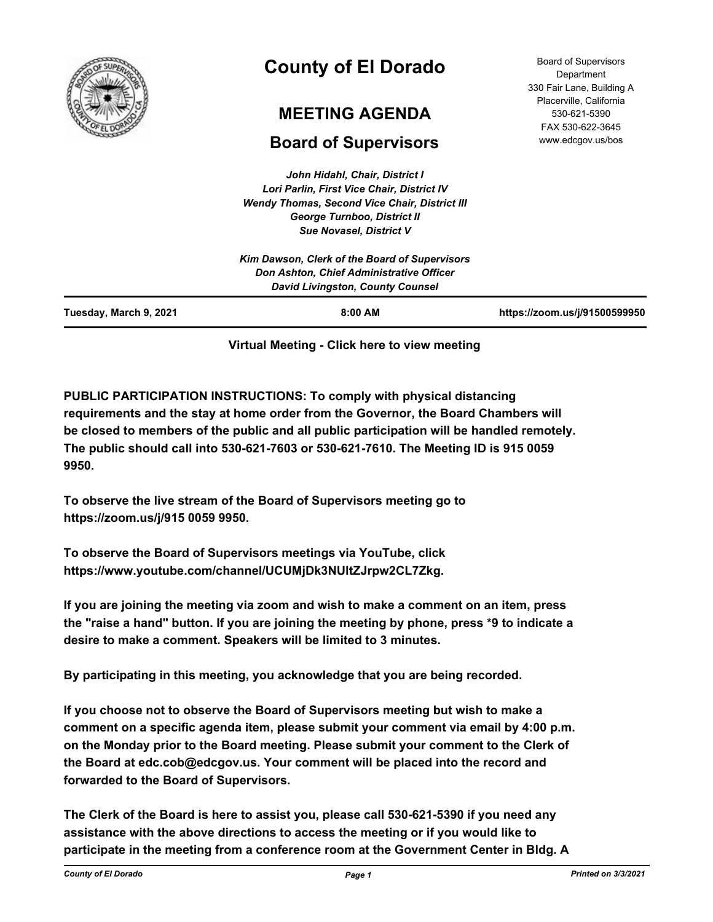

# **County of El Dorado**

# **MEETING AGENDA**

# **Board of Supervisors**

*John Hidahl, Chair, District I Lori Parlin, First Vice Chair, District IV Wendy Thomas, Second Vice Chair, District III George Turnboo, District II Sue Novasel, District V*

| Tuesday, March 9, 2021 | $8:00$ AM                                                                                                                            | https://zoom.us/j/91500599950 |
|------------------------|--------------------------------------------------------------------------------------------------------------------------------------|-------------------------------|
|                        | Kim Dawson, Clerk of the Board of Supervisors<br>Don Ashton, Chief Administrative Officer<br><b>David Livingston, County Counsel</b> |                               |

## **Virtual Meeting - Click here to view meeting**

**PUBLIC PARTICIPATION INSTRUCTIONS: To comply with physical distancing requirements and the stay at home order from the Governor, the Board Chambers will be closed to members of the public and all public participation will be handled remotely. The public should call into 530-621-7603 or 530-621-7610. The Meeting ID is 915 0059 9950.**

**To observe the live stream of the Board of Supervisors meeting go to https://zoom.us/j/915 0059 9950.**

**To observe the Board of Supervisors meetings via YouTube, click https://www.youtube.com/channel/UCUMjDk3NUltZJrpw2CL7Zkg.**

**If you are joining the meeting via zoom and wish to make a comment on an item, press the "raise a hand" button. If you are joining the meeting by phone, press \*9 to indicate a desire to make a comment. Speakers will be limited to 3 minutes.**

**By participating in this meeting, you acknowledge that you are being recorded.**

**If you choose not to observe the Board of Supervisors meeting but wish to make a comment on a specific agenda item, please submit your comment via email by 4:00 p.m. on the Monday prior to the Board meeting. Please submit your comment to the Clerk of the Board at edc.cob@edcgov.us. Your comment will be placed into the record and forwarded to the Board of Supervisors.**

**The Clerk of the Board is here to assist you, please call 530-621-5390 if you need any assistance with the above directions to access the meeting or if you would like to participate in the meeting from a conference room at the Government Center in Bldg. A**

Board of Supervisors Department 330 Fair Lane, Building A Placerville, California 530-621-5390 FAX 530-622-3645 www.edcgov.us/bos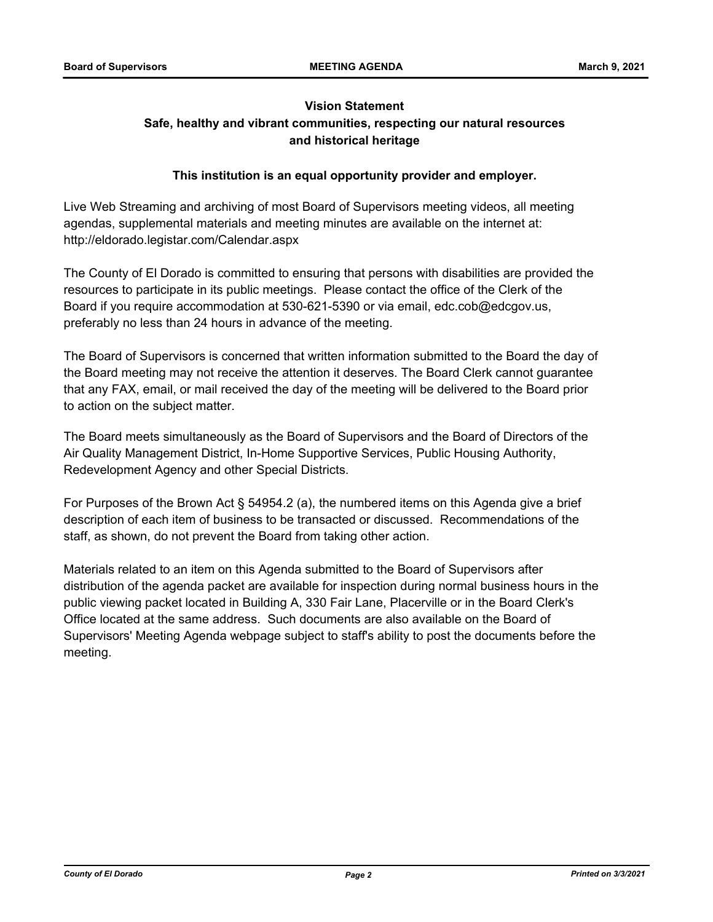## **Vision Statement Safe, healthy and vibrant communities, respecting our natural resources and historical heritage**

### **This institution is an equal opportunity provider and employer.**

Live Web Streaming and archiving of most Board of Supervisors meeting videos, all meeting agendas, supplemental materials and meeting minutes are available on the internet at: http://eldorado.legistar.com/Calendar.aspx

The County of El Dorado is committed to ensuring that persons with disabilities are provided the resources to participate in its public meetings. Please contact the office of the Clerk of the Board if you require accommodation at 530-621-5390 or via email, edc.cob@edcgov.us, preferably no less than 24 hours in advance of the meeting.

The Board of Supervisors is concerned that written information submitted to the Board the day of the Board meeting may not receive the attention it deserves. The Board Clerk cannot guarantee that any FAX, email, or mail received the day of the meeting will be delivered to the Board prior to action on the subject matter.

The Board meets simultaneously as the Board of Supervisors and the Board of Directors of the Air Quality Management District, In-Home Supportive Services, Public Housing Authority, Redevelopment Agency and other Special Districts.

For Purposes of the Brown Act § 54954.2 (a), the numbered items on this Agenda give a brief description of each item of business to be transacted or discussed. Recommendations of the staff, as shown, do not prevent the Board from taking other action.

Materials related to an item on this Agenda submitted to the Board of Supervisors after distribution of the agenda packet are available for inspection during normal business hours in the public viewing packet located in Building A, 330 Fair Lane, Placerville or in the Board Clerk's Office located at the same address. Such documents are also available on the Board of Supervisors' Meeting Agenda webpage subject to staff's ability to post the documents before the meeting.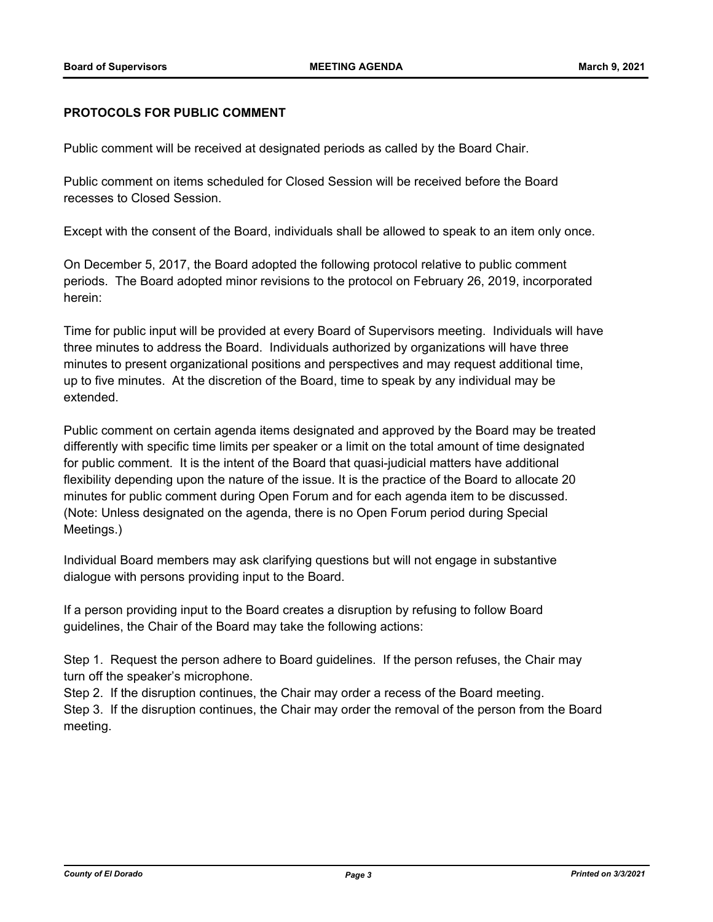#### **PROTOCOLS FOR PUBLIC COMMENT**

Public comment will be received at designated periods as called by the Board Chair.

Public comment on items scheduled for Closed Session will be received before the Board recesses to Closed Session.

Except with the consent of the Board, individuals shall be allowed to speak to an item only once.

On December 5, 2017, the Board adopted the following protocol relative to public comment periods. The Board adopted minor revisions to the protocol on February 26, 2019, incorporated herein:

Time for public input will be provided at every Board of Supervisors meeting. Individuals will have three minutes to address the Board. Individuals authorized by organizations will have three minutes to present organizational positions and perspectives and may request additional time, up to five minutes. At the discretion of the Board, time to speak by any individual may be extended.

Public comment on certain agenda items designated and approved by the Board may be treated differently with specific time limits per speaker or a limit on the total amount of time designated for public comment. It is the intent of the Board that quasi-judicial matters have additional flexibility depending upon the nature of the issue. It is the practice of the Board to allocate 20 minutes for public comment during Open Forum and for each agenda item to be discussed. (Note: Unless designated on the agenda, there is no Open Forum period during Special Meetings.)

Individual Board members may ask clarifying questions but will not engage in substantive dialogue with persons providing input to the Board.

If a person providing input to the Board creates a disruption by refusing to follow Board guidelines, the Chair of the Board may take the following actions:

Step 1. Request the person adhere to Board guidelines. If the person refuses, the Chair may turn off the speaker's microphone.

Step 2. If the disruption continues, the Chair may order a recess of the Board meeting.

Step 3. If the disruption continues, the Chair may order the removal of the person from the Board meeting.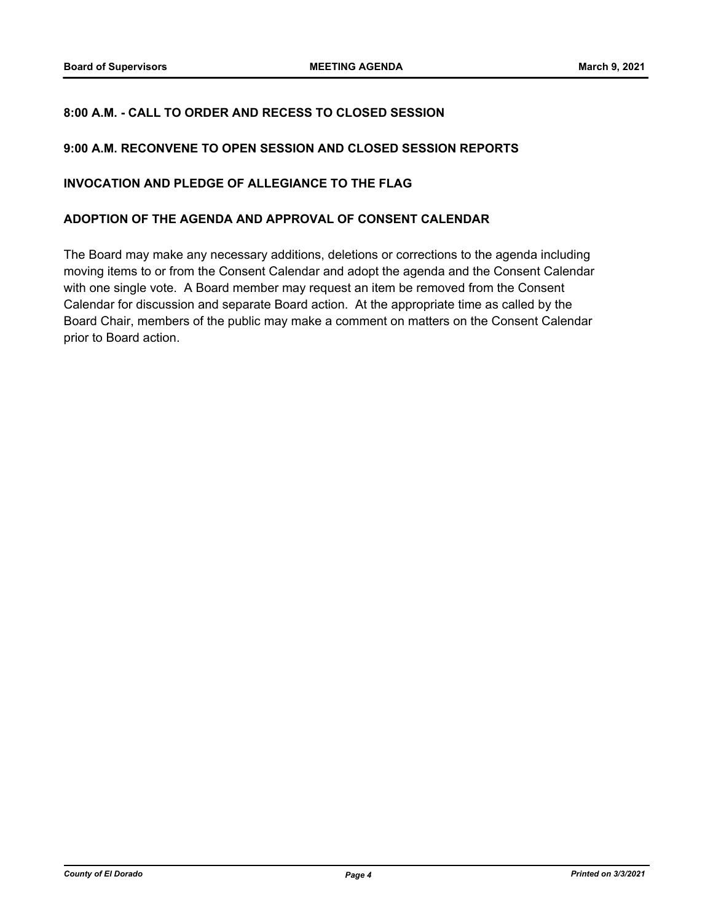### **8:00 A.M. - CALL TO ORDER AND RECESS TO CLOSED SESSION**

#### **9:00 A.M. RECONVENE TO OPEN SESSION AND CLOSED SESSION REPORTS**

#### **INVOCATION AND PLEDGE OF ALLEGIANCE TO THE FLAG**

#### **ADOPTION OF THE AGENDA AND APPROVAL OF CONSENT CALENDAR**

The Board may make any necessary additions, deletions or corrections to the agenda including moving items to or from the Consent Calendar and adopt the agenda and the Consent Calendar with one single vote. A Board member may request an item be removed from the Consent Calendar for discussion and separate Board action. At the appropriate time as called by the Board Chair, members of the public may make a comment on matters on the Consent Calendar prior to Board action.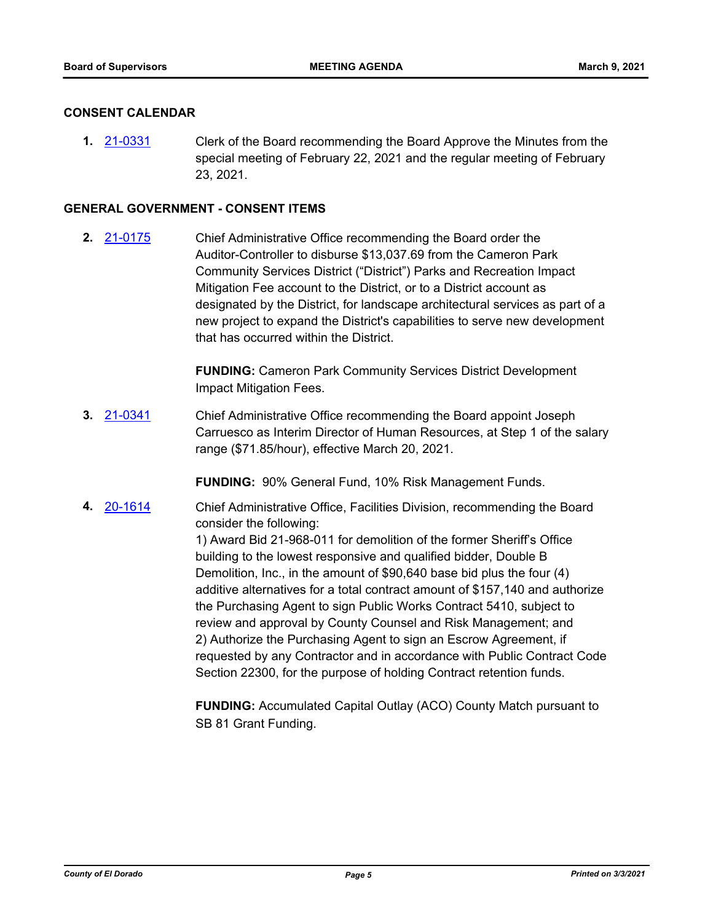#### **CONSENT CALENDAR**

**1.** [21-0331](http://eldorado.legistar.com/gateway.aspx?m=l&id=/matter.aspx?key=29227) Clerk of the Board recommending the Board Approve the Minutes from the special meeting of February 22, 2021 and the regular meeting of February 23, 2021.

#### **GENERAL GOVERNMENT - CONSENT ITEMS**

**2.** [21-0175](http://eldorado.legistar.com/gateway.aspx?m=l&id=/matter.aspx?key=29070) Chief Administrative Office recommending the Board order the Auditor-Controller to disburse \$13,037.69 from the Cameron Park Community Services District ("District") Parks and Recreation Impact Mitigation Fee account to the District, or to a District account as designated by the District, for landscape architectural services as part of a new project to expand the District's capabilities to serve new development that has occurred within the District.

> **FUNDING:** Cameron Park Community Services District Development Impact Mitigation Fees.

**3.** [21-0341](http://eldorado.legistar.com/gateway.aspx?m=l&id=/matter.aspx?key=29237) Chief Administrative Office recommending the Board appoint Joseph Carruesco as Interim Director of Human Resources, at Step 1 of the salary range (\$71.85/hour), effective March 20, 2021.

**FUNDING:** 90% General Fund, 10% Risk Management Funds.

**4.** [20-1614](http://eldorado.legistar.com/gateway.aspx?m=l&id=/matter.aspx?key=28823) Chief Administrative Office, Facilities Division, recommending the Board consider the following:

> 1) Award Bid 21-968-011 for demolition of the former Sheriff's Office building to the lowest responsive and qualified bidder, Double B Demolition, Inc., in the amount of \$90,640 base bid plus the four (4) additive alternatives for a total contract amount of \$157,140 and authorize the Purchasing Agent to sign Public Works Contract 5410, subject to review and approval by County Counsel and Risk Management; and 2) Authorize the Purchasing Agent to sign an Escrow Agreement, if requested by any Contractor and in accordance with Public Contract Code Section 22300, for the purpose of holding Contract retention funds.

**FUNDING:** Accumulated Capital Outlay (ACO) County Match pursuant to SB 81 Grant Funding.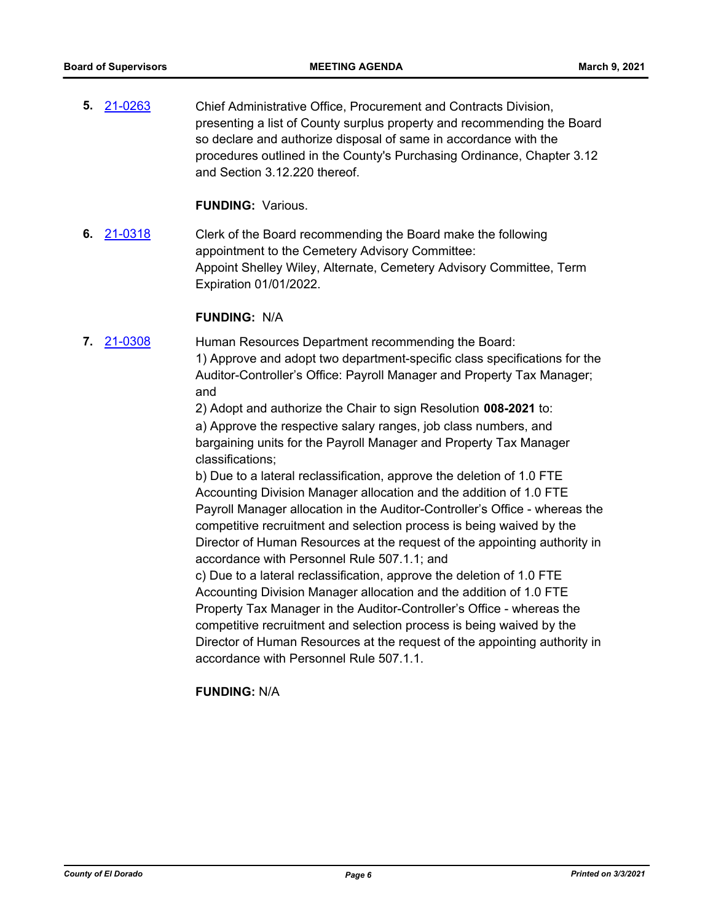**5.** [21-0263](http://eldorado.legistar.com/gateway.aspx?m=l&id=/matter.aspx?key=29159) Chief Administrative Office, Procurement and Contracts Division, presenting a list of County surplus property and recommending the Board so declare and authorize disposal of same in accordance with the procedures outlined in the County's Purchasing Ordinance, Chapter 3.12 and Section 3.12.220 thereof.

**FUNDING:** Various.

**6.** [21-0318](http://eldorado.legistar.com/gateway.aspx?m=l&id=/matter.aspx?key=29214) Clerk of the Board recommending the Board make the following appointment to the Cemetery Advisory Committee: Appoint Shelley Wiley, Alternate, Cemetery Advisory Committee, Term Expiration 01/01/2022.

#### **FUNDING:** N/A

**7.** [21-0308](http://eldorado.legistar.com/gateway.aspx?m=l&id=/matter.aspx?key=29204) Human Resources Department recommending the Board: 1) Approve and adopt two department-specific class specifications for the Auditor-Controller's Office: Payroll Manager and Property Tax Manager; and

> 2) Adopt and authorize the Chair to sign Resolution **008-2021** to: a) Approve the respective salary ranges, job class numbers, and bargaining units for the Payroll Manager and Property Tax Manager classifications;

b) Due to a lateral reclassification, approve the deletion of 1.0 FTE Accounting Division Manager allocation and the addition of 1.0 FTE Payroll Manager allocation in the Auditor-Controller's Office - whereas the competitive recruitment and selection process is being waived by the Director of Human Resources at the request of the appointing authority in accordance with Personnel Rule 507.1.1; and

c) Due to a lateral reclassification, approve the deletion of 1.0 FTE Accounting Division Manager allocation and the addition of 1.0 FTE Property Tax Manager in the Auditor-Controller's Office - whereas the competitive recruitment and selection process is being waived by the Director of Human Resources at the request of the appointing authority in accordance with Personnel Rule 507.1.1.

**FUNDING:** N/A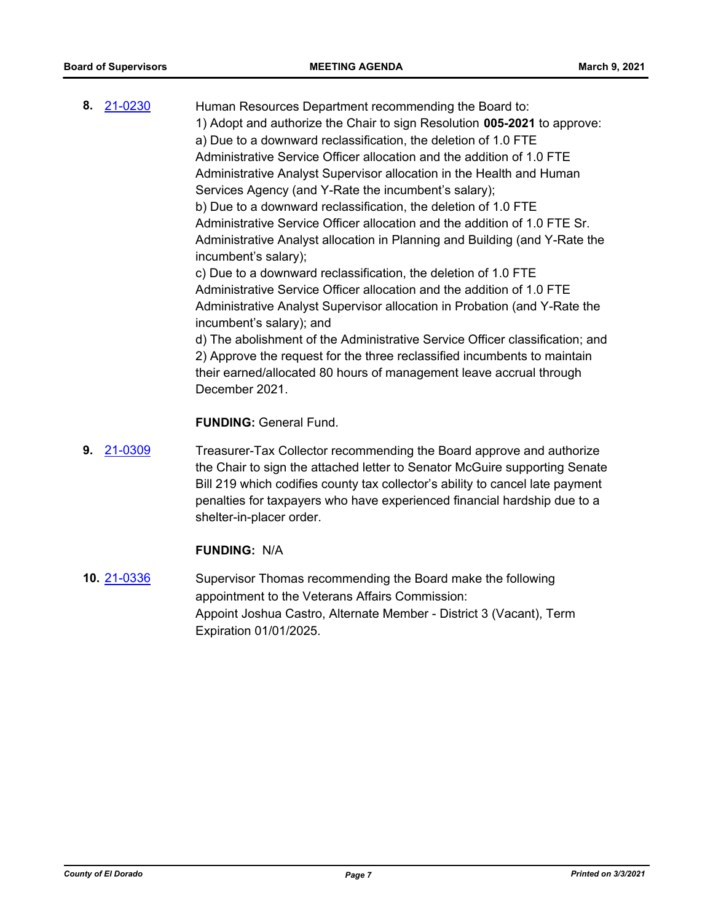**8.** [21-0230](http://eldorado.legistar.com/gateway.aspx?m=l&id=/matter.aspx?key=29126) Human Resources Department recommending the Board to: 1) Adopt and authorize the Chair to sign Resolution **005-2021** to approve: a) Due to a downward reclassification, the deletion of 1.0 FTE Administrative Service Officer allocation and the addition of 1.0 FTE Administrative Analyst Supervisor allocation in the Health and Human Services Agency (and Y-Rate the incumbent's salary); b) Due to a downward reclassification, the deletion of 1.0 FTE Administrative Service Officer allocation and the addition of 1.0 FTE Sr. Administrative Analyst allocation in Planning and Building (and Y-Rate the incumbent's salary); c) Due to a downward reclassification, the deletion of 1.0 FTE Administrative Service Officer allocation and the addition of 1.0 FTE Administrative Analyst Supervisor allocation in Probation (and Y-Rate the incumbent's salary); and

d) The abolishment of the Administrative Service Officer classification; and 2) Approve the request for the three reclassified incumbents to maintain their earned/allocated 80 hours of management leave accrual through December 2021.

**FUNDING:** General Fund.

**9.** [21-0309](http://eldorado.legistar.com/gateway.aspx?m=l&id=/matter.aspx?key=29205) Treasurer-Tax Collector recommending the Board approve and authorize the Chair to sign the attached letter to Senator McGuire supporting Senate Bill 219 which codifies county tax collector's ability to cancel late payment penalties for taxpayers who have experienced financial hardship due to a shelter-in-placer order.

#### **FUNDING:** N/A

**10.** [21-0336](http://eldorado.legistar.com/gateway.aspx?m=l&id=/matter.aspx?key=29232) Supervisor Thomas recommending the Board make the following appointment to the Veterans Affairs Commission: Appoint Joshua Castro, Alternate Member - District 3 (Vacant), Term Expiration 01/01/2025.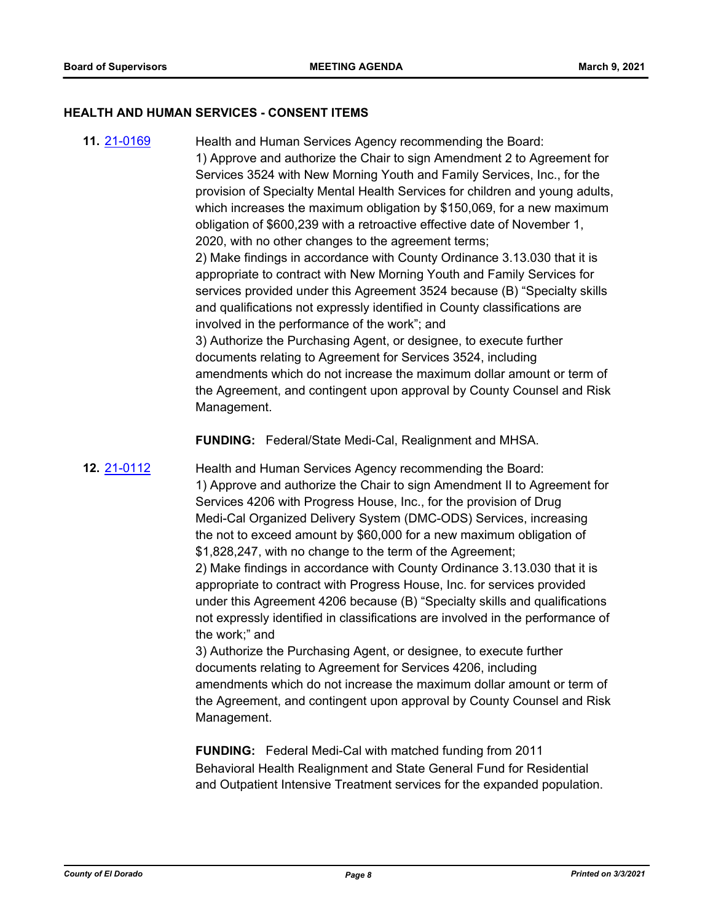#### **HEALTH AND HUMAN SERVICES - CONSENT ITEMS**

**11.** [21-0169](http://eldorado.legistar.com/gateway.aspx?m=l&id=/matter.aspx?key=29064) Health and Human Services Agency recommending the Board: 1) Approve and authorize the Chair to sign Amendment 2 to Agreement for Services 3524 with New Morning Youth and Family Services, Inc., for the provision of Specialty Mental Health Services for children and young adults, which increases the maximum obligation by \$150,069, for a new maximum obligation of \$600,239 with a retroactive effective date of November 1, 2020, with no other changes to the agreement terms; 2) Make findings in accordance with County Ordinance 3.13.030 that it is appropriate to contract with New Morning Youth and Family Services for services provided under this Agreement 3524 because (B) "Specialty skills and qualifications not expressly identified in County classifications are involved in the performance of the work"; and 3) Authorize the Purchasing Agent, or designee, to execute further documents relating to Agreement for Services 3524, including amendments which do not increase the maximum dollar amount or term of the Agreement, and contingent upon approval by County Counsel and Risk Management.

**FUNDING:** Federal/State Medi-Cal, Realignment and MHSA.

**12.** [21-0112](http://eldorado.legistar.com/gateway.aspx?m=l&id=/matter.aspx?key=29007) Health and Human Services Agency recommending the Board: 1) Approve and authorize the Chair to sign Amendment II to Agreement for Services 4206 with Progress House, Inc., for the provision of Drug Medi-Cal Organized Delivery System (DMC-ODS) Services, increasing the not to exceed amount by \$60,000 for a new maximum obligation of \$1,828,247, with no change to the term of the Agreement; 2) Make findings in accordance with County Ordinance 3.13.030 that it is appropriate to contract with Progress House, Inc. for services provided under this Agreement 4206 because (B) "Specialty skills and qualifications not expressly identified in classifications are involved in the performance of the work;" and

> 3) Authorize the Purchasing Agent, or designee, to execute further documents relating to Agreement for Services 4206, including amendments which do not increase the maximum dollar amount or term of the Agreement, and contingent upon approval by County Counsel and Risk Management.

**FUNDING:** Federal Medi-Cal with matched funding from 2011 Behavioral Health Realignment and State General Fund for Residential and Outpatient Intensive Treatment services for the expanded population.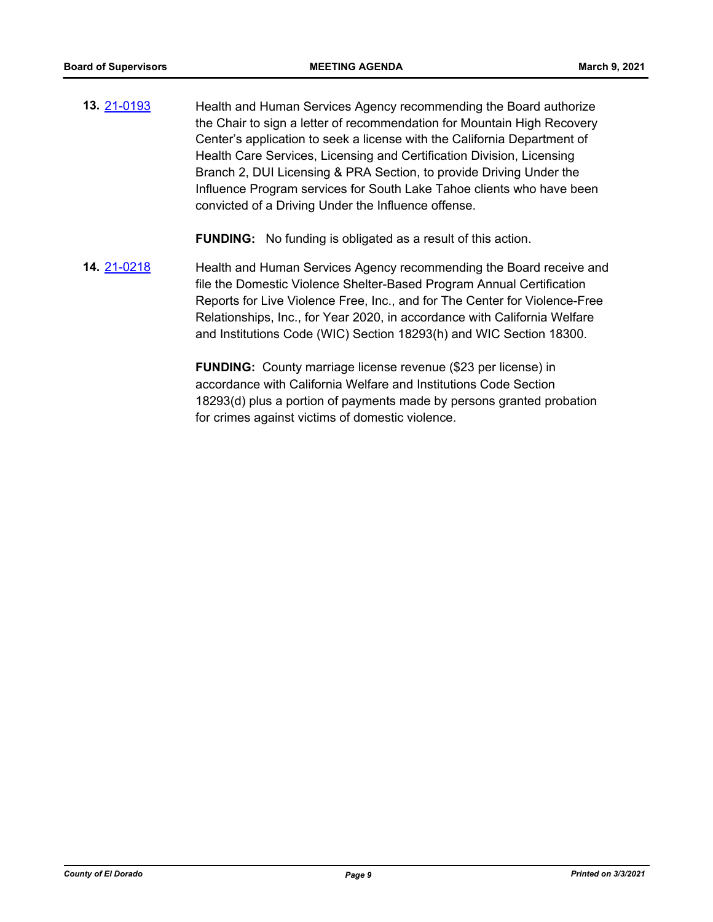**13.** [21-0193](http://eldorado.legistar.com/gateway.aspx?m=l&id=/matter.aspx?key=29089) Health and Human Services Agency recommending the Board authorize the Chair to sign a letter of recommendation for Mountain High Recovery Center's application to seek a license with the California Department of Health Care Services, Licensing and Certification Division, Licensing Branch 2, DUI Licensing & PRA Section, to provide Driving Under the Influence Program services for South Lake Tahoe clients who have been convicted of a Driving Under the Influence offense.

**FUNDING:** No funding is obligated as a result of this action.

**14.** [21-0218](http://eldorado.legistar.com/gateway.aspx?m=l&id=/matter.aspx?key=29114) Health and Human Services Agency recommending the Board receive and file the Domestic Violence Shelter-Based Program Annual Certification Reports for Live Violence Free, Inc., and for The Center for Violence-Free Relationships, Inc., for Year 2020, in accordance with California Welfare and Institutions Code (WIC) Section 18293(h) and WIC Section 18300.

> **FUNDING:** County marriage license revenue (\$23 per license) in accordance with California Welfare and Institutions Code Section 18293(d) plus a portion of payments made by persons granted probation for crimes against victims of domestic violence.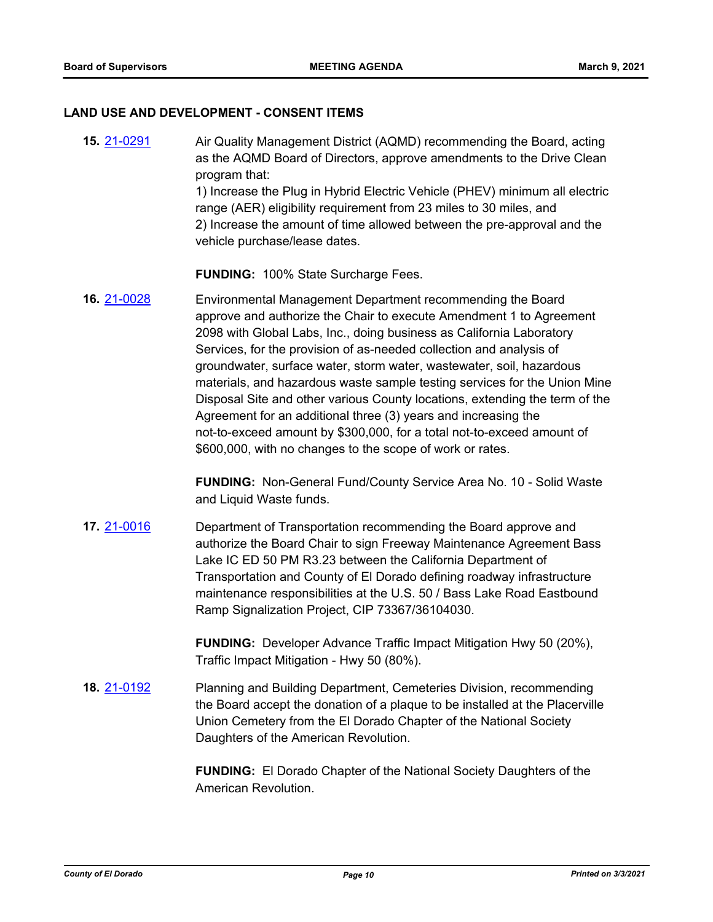#### **LAND USE AND DEVELOPMENT - CONSENT ITEMS**

**15.** [21-0291](http://eldorado.legistar.com/gateway.aspx?m=l&id=/matter.aspx?key=29187) Air Quality Management District (AQMD) recommending the Board, acting as the AQMD Board of Directors, approve amendments to the Drive Clean program that:

1) Increase the Plug in Hybrid Electric Vehicle (PHEV) minimum all electric range (AER) eligibility requirement from 23 miles to 30 miles, and 2) Increase the amount of time allowed between the pre-approval and the vehicle purchase/lease dates.

**FUNDING:** 100% State Surcharge Fees.

**16.** [21-0028](http://eldorado.legistar.com/gateway.aspx?m=l&id=/matter.aspx?key=28923) Environmental Management Department recommending the Board approve and authorize the Chair to execute Amendment 1 to Agreement 2098 with Global Labs, Inc., doing business as California Laboratory Services, for the provision of as-needed collection and analysis of groundwater, surface water, storm water, wastewater, soil, hazardous materials, and hazardous waste sample testing services for the Union Mine Disposal Site and other various County locations, extending the term of the Agreement for an additional three (3) years and increasing the not-to-exceed amount by \$300,000, for a total not-to-exceed amount of \$600,000, with no changes to the scope of work or rates.

> **FUNDING:** Non-General Fund/County Service Area No. 10 - Solid Waste and Liquid Waste funds.

**17.** [21-0016](http://eldorado.legistar.com/gateway.aspx?m=l&id=/matter.aspx?key=28911) Department of Transportation recommending the Board approve and authorize the Board Chair to sign Freeway Maintenance Agreement Bass Lake IC ED 50 PM R3.23 between the California Department of Transportation and County of El Dorado defining roadway infrastructure maintenance responsibilities at the U.S. 50 / Bass Lake Road Eastbound Ramp Signalization Project, CIP 73367/36104030.

> **FUNDING:** Developer Advance Traffic Impact Mitigation Hwy 50 (20%), Traffic Impact Mitigation - Hwy 50 (80%).

**18.** [21-0192](http://eldorado.legistar.com/gateway.aspx?m=l&id=/matter.aspx?key=29088) Planning and Building Department, Cemeteries Division, recommending the Board accept the donation of a plaque to be installed at the Placerville Union Cemetery from the El Dorado Chapter of the National Society Daughters of the American Revolution.

> **FUNDING:** El Dorado Chapter of the National Society Daughters of the American Revolution.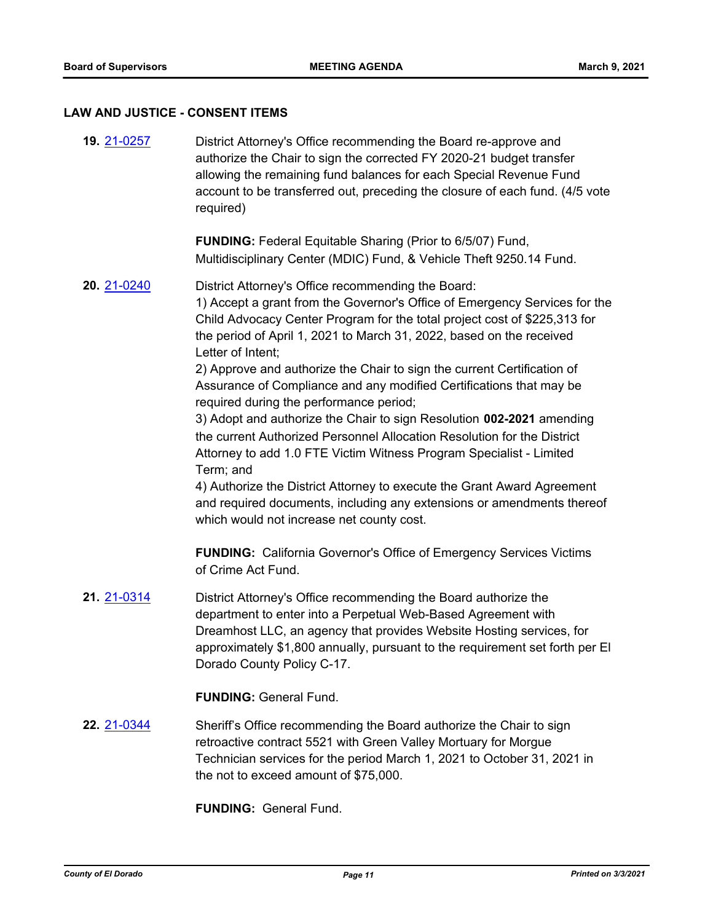# **LAW AND JUSTICE - CONSENT ITEMS**

| 19. 21-0257 | District Attorney's Office recommending the Board re-approve and<br>authorize the Chair to sign the corrected FY 2020-21 budget transfer<br>allowing the remaining fund balances for each Special Revenue Fund<br>account to be transferred out, preceding the closure of each fund. (4/5 vote<br>required)                                                                                                                                                                                                                                                                                                                                                                                                                                                                                                                                                                                                                                       |
|-------------|---------------------------------------------------------------------------------------------------------------------------------------------------------------------------------------------------------------------------------------------------------------------------------------------------------------------------------------------------------------------------------------------------------------------------------------------------------------------------------------------------------------------------------------------------------------------------------------------------------------------------------------------------------------------------------------------------------------------------------------------------------------------------------------------------------------------------------------------------------------------------------------------------------------------------------------------------|
|             | <b>FUNDING:</b> Federal Equitable Sharing (Prior to 6/5/07) Fund,<br>Multidisciplinary Center (MDIC) Fund, & Vehicle Theft 9250.14 Fund.                                                                                                                                                                                                                                                                                                                                                                                                                                                                                                                                                                                                                                                                                                                                                                                                          |
| 20. 21-0240 | District Attorney's Office recommending the Board:<br>1) Accept a grant from the Governor's Office of Emergency Services for the<br>Child Advocacy Center Program for the total project cost of \$225,313 for<br>the period of April 1, 2021 to March 31, 2022, based on the received<br>Letter of Intent;<br>2) Approve and authorize the Chair to sign the current Certification of<br>Assurance of Compliance and any modified Certifications that may be<br>required during the performance period;<br>3) Adopt and authorize the Chair to sign Resolution 002-2021 amending<br>the current Authorized Personnel Allocation Resolution for the District<br>Attorney to add 1.0 FTE Victim Witness Program Specialist - Limited<br>Term; and<br>4) Authorize the District Attorney to execute the Grant Award Agreement<br>and required documents, including any extensions or amendments thereof<br>which would not increase net county cost. |
|             | <b>FUNDING:</b> California Governor's Office of Emergency Services Victims<br>of Crime Act Fund.                                                                                                                                                                                                                                                                                                                                                                                                                                                                                                                                                                                                                                                                                                                                                                                                                                                  |
| 21. 21-0314 | District Attorney's Office recommending the Board authorize the<br>department to enter into a Perpetual Web-Based Agreement with<br>Dreamhost LLC, an agency that provides Website Hosting services, for<br>approximately \$1,800 annually, pursuant to the requirement set forth per El<br>Dorado County Policy C-17.                                                                                                                                                                                                                                                                                                                                                                                                                                                                                                                                                                                                                            |
|             | <b>FUNDING: General Fund.</b>                                                                                                                                                                                                                                                                                                                                                                                                                                                                                                                                                                                                                                                                                                                                                                                                                                                                                                                     |
| 22. 21-0344 | Sheriff's Office recommending the Board authorize the Chair to sign<br>retroactive contract 5521 with Green Valley Mortuary for Morgue<br>Technician services for the period March 1, 2021 to October 31, 2021 in<br>the not to exceed amount of \$75,000.                                                                                                                                                                                                                                                                                                                                                                                                                                                                                                                                                                                                                                                                                        |

**FUNDING:** General Fund.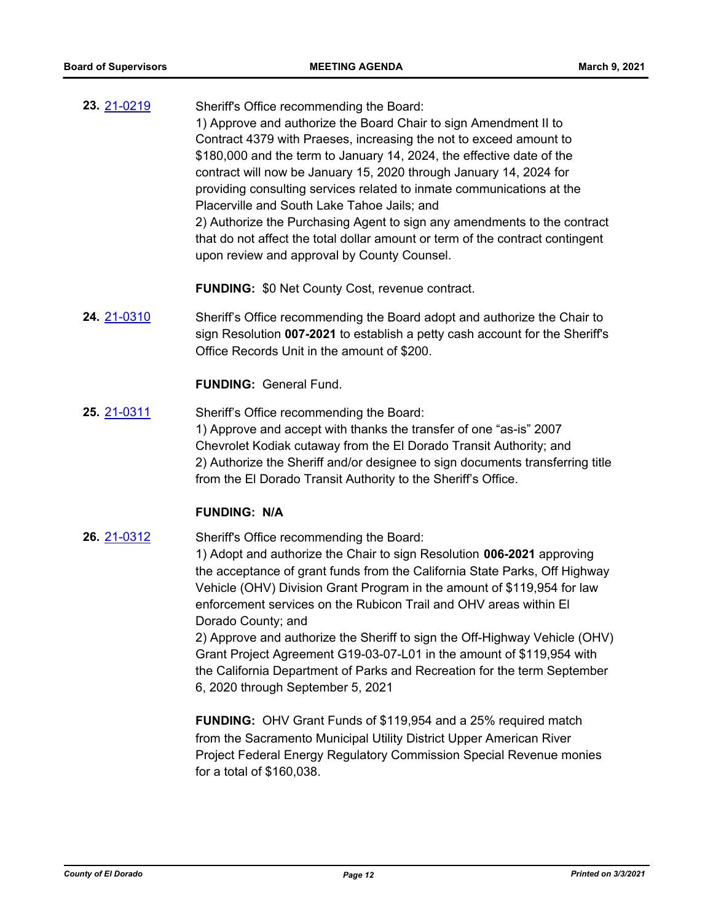**23.** [21-0219](http://eldorado.legistar.com/gateway.aspx?m=l&id=/matter.aspx?key=29115) Sheriff's Office recommending the Board: 1) Approve and authorize the Board Chair to sign Amendment II to Contract 4379 with Praeses, increasing the not to exceed amount to \$180,000 and the term to January 14, 2024, the effective date of the contract will now be January 15, 2020 through January 14, 2024 for providing consulting services related to inmate communications at the Placerville and South Lake Tahoe Jails; and 2) Authorize the Purchasing Agent to sign any amendments to the contract that do not affect the total dollar amount or term of the contract contingent upon review and approval by County Counsel.

**FUNDING:** \$0 Net County Cost, revenue contract.

**24.** [21-0310](http://eldorado.legistar.com/gateway.aspx?m=l&id=/matter.aspx?key=29206) Sheriff's Office recommending the Board adopt and authorize the Chair to sign Resolution **007-2021** to establish a petty cash account for the Sheriff's Office Records Unit in the amount of \$200.

**FUNDING:** General Fund.

**25.** [21-0311](http://eldorado.legistar.com/gateway.aspx?m=l&id=/matter.aspx?key=29207) Sheriff's Office recommending the Board: 1) Approve and accept with thanks the transfer of one "as-is" 2007 Chevrolet Kodiak cutaway from the El Dorado Transit Authority; and 2) Authorize the Sheriff and/or designee to sign documents transferring title from the El Dorado Transit Authority to the Sheriff's Office.

#### **FUNDING: N/A**

**26.** [21-0312](http://eldorado.legistar.com/gateway.aspx?m=l&id=/matter.aspx?key=29208) Sheriff's Office recommending the Board:

1) Adopt and authorize the Chair to sign Resolution **006-2021** approving the acceptance of grant funds from the California State Parks, Off Highway Vehicle (OHV) Division Grant Program in the amount of \$119,954 for law enforcement services on the Rubicon Trail and OHV areas within El Dorado County; and

2) Approve and authorize the Sheriff to sign the Off-Highway Vehicle (OHV) Grant Project Agreement G19-03-07-L01 in the amount of \$119,954 with the California Department of Parks and Recreation for the term September 6, 2020 through September 5, 2021

**FUNDING:** OHV Grant Funds of \$119,954 and a 25% required match from the Sacramento Municipal Utility District Upper American River Project Federal Energy Regulatory Commission Special Revenue monies for a total of \$160,038.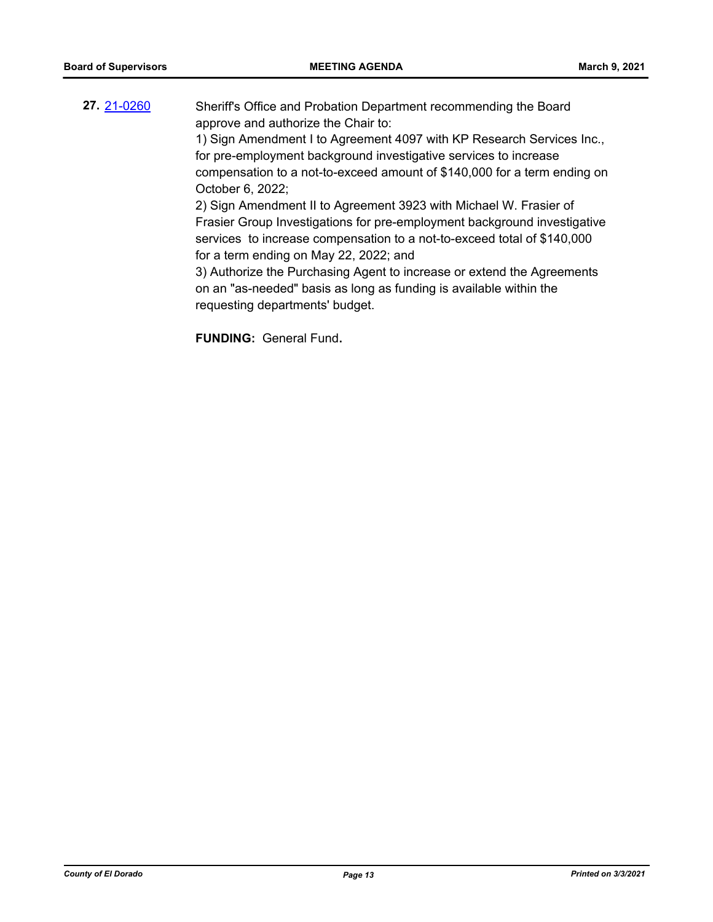**27.** [21-0260](http://eldorado.legistar.com/gateway.aspx?m=l&id=/matter.aspx?key=29156) Sheriff's Office and Probation Department recommending the Board approve and authorize the Chair to: 1) Sign Amendment I to Agreement 4097 with KP Research Services Inc., for pre-employment background investigative services to increase compensation to a not-to-exceed amount of \$140,000 for a term ending on October 6, 2022; 2) Sign Amendment II to Agreement 3923 with Michael W. Frasier of Frasier Group Investigations for pre-employment background investigative services to increase compensation to a not-to-exceed total of \$140,000 for a term ending on May 22, 2022; and 3) Authorize the Purchasing Agent to increase or extend the Agreements on an "as-needed" basis as long as funding is available within the requesting departments' budget.

**FUNDING:** General Fund**.**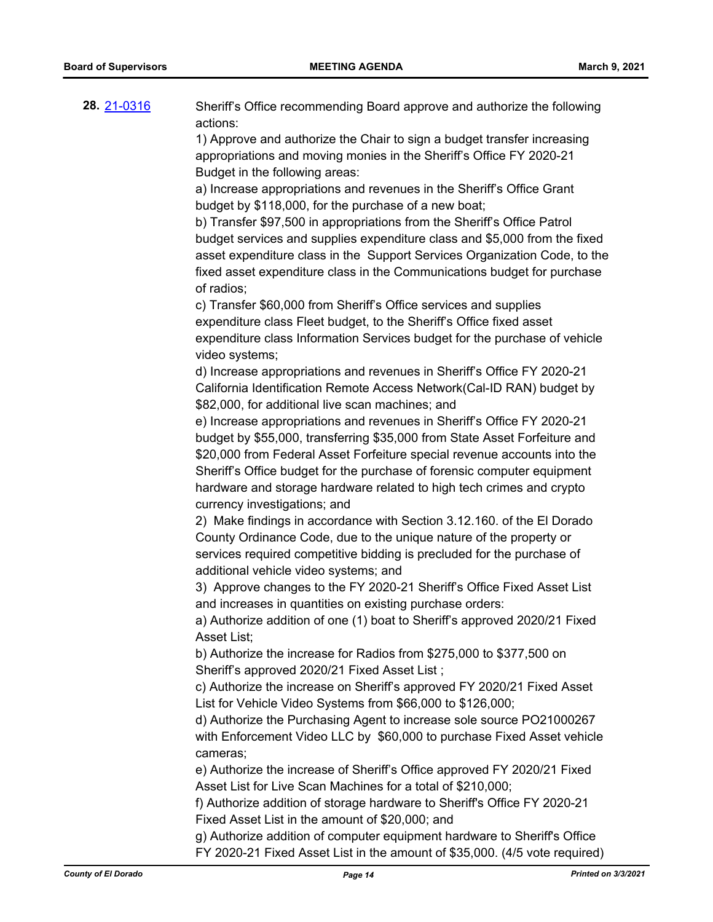| 28 21-0316 | Sheriff's Office recommending Board approve and authorize the following |
|------------|-------------------------------------------------------------------------|
|            | actions:                                                                |

1) Approve and authorize the Chair to sign a budget transfer increasing appropriations and moving monies in the Sheriff's Office FY 2020-21 Budget in the following areas:

a) Increase appropriations and revenues in the Sheriff's Office Grant budget by \$118,000, for the purchase of a new boat;

b) Transfer \$97,500 in appropriations from the Sheriff's Office Patrol budget services and supplies expenditure class and \$5,000 from the fixed asset expenditure class in the Support Services Organization Code, to the fixed asset expenditure class in the Communications budget for purchase of radios;

c) Transfer \$60,000 from Sheriff's Office services and supplies expenditure class Fleet budget, to the Sheriff's Office fixed asset expenditure class Information Services budget for the purchase of vehicle video systems;

d) Increase appropriations and revenues in Sheriff's Office FY 2020-21 California Identification Remote Access Network(Cal-ID RAN) budget by \$82,000, for additional live scan machines; and

e) Increase appropriations and revenues in Sheriff's Office FY 2020-21 budget by \$55,000, transferring \$35,000 from State Asset Forfeiture and \$20,000 from Federal Asset Forfeiture special revenue accounts into the Sheriff's Office budget for the purchase of forensic computer equipment hardware and storage hardware related to high tech crimes and crypto currency investigations; and

2) Make findings in accordance with Section 3.12.160. of the El Dorado County Ordinance Code, due to the unique nature of the property or services required competitive bidding is precluded for the purchase of additional vehicle video systems; and

3) Approve changes to the FY 2020-21 Sheriff's Office Fixed Asset List and increases in quantities on existing purchase orders:

a) Authorize addition of one (1) boat to Sheriff's approved 2020/21 Fixed Asset List;

b) Authorize the increase for Radios from \$275,000 to \$377,500 on Sheriff's approved 2020/21 Fixed Asset List ;

c) Authorize the increase on Sheriff's approved FY 2020/21 Fixed Asset List for Vehicle Video Systems from \$66,000 to \$126,000;

d) Authorize the Purchasing Agent to increase sole source PO21000267 with Enforcement Video LLC by \$60,000 to purchase Fixed Asset vehicle cameras;

e) Authorize the increase of Sheriff's Office approved FY 2020/21 Fixed Asset List for Live Scan Machines for a total of \$210,000;

f) Authorize addition of storage hardware to Sheriff's Office FY 2020-21 Fixed Asset List in the amount of \$20,000; and

g) Authorize addition of computer equipment hardware to Sheriff's Office FY 2020-21 Fixed Asset List in the amount of \$35,000. (4/5 vote required)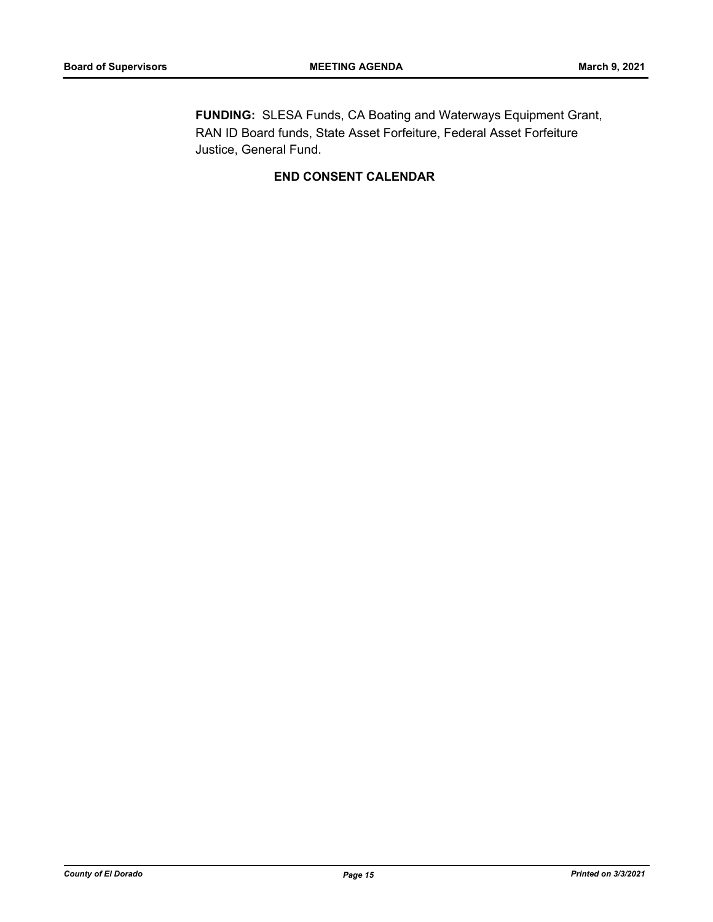**FUNDING:** SLESA Funds, CA Boating and Waterways Equipment Grant, RAN ID Board funds, State Asset Forfeiture, Federal Asset Forfeiture Justice, General Fund.

## **END CONSENT CALENDAR**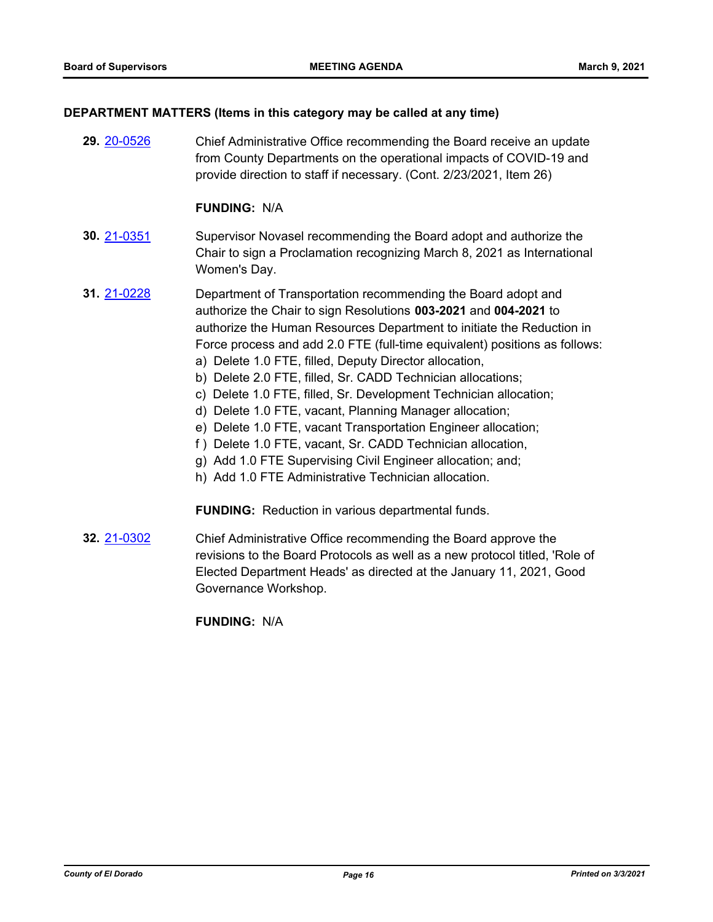#### **DEPARTMENT MATTERS (Items in this category may be called at any time)**

**29.** [20-0526](http://eldorado.legistar.com/gateway.aspx?m=l&id=/matter.aspx?key=27732) Chief Administrative Office recommending the Board receive an update from County Departments on the operational impacts of COVID-19 and provide direction to staff if necessary. (Cont. 2/23/2021, Item 26)

#### **FUNDING:** N/A

- **30.** [21-0351](http://eldorado.legistar.com/gateway.aspx?m=l&id=/matter.aspx?key=29247) Supervisor Novasel recommending the Board adopt and authorize the Chair to sign a Proclamation recognizing March 8, 2021 as International Women's Day.
- **31.** [21-0228](http://eldorado.legistar.com/gateway.aspx?m=l&id=/matter.aspx?key=29124) Department of Transportation recommending the Board adopt and authorize the Chair to sign Resolutions **003-2021** and **004-2021** to authorize the Human Resources Department to initiate the Reduction in Force process and add 2.0 FTE (full-time equivalent) positions as follows: a) Delete 1.0 FTE, filled, Deputy Director allocation,
	- b) Delete 2.0 FTE, filled, Sr. CADD Technician allocations;
	- c) Delete 1.0 FTE, filled, Sr. Development Technician allocation;
	- d) Delete 1.0 FTE, vacant, Planning Manager allocation;
	- e) Delete 1.0 FTE, vacant Transportation Engineer allocation;
	- f ) Delete 1.0 FTE, vacant, Sr. CADD Technician allocation,
	- g) Add 1.0 FTE Supervising Civil Engineer allocation; and;
	- h) Add 1.0 FTE Administrative Technician allocation.

**FUNDING:** Reduction in various departmental funds.

**32.** [21-0302](http://eldorado.legistar.com/gateway.aspx?m=l&id=/matter.aspx?key=29198) Chief Administrative Office recommending the Board approve the revisions to the Board Protocols as well as a new protocol titled, 'Role of Elected Department Heads' as directed at the January 11, 2021, Good Governance Workshop.

**FUNDING:** N/A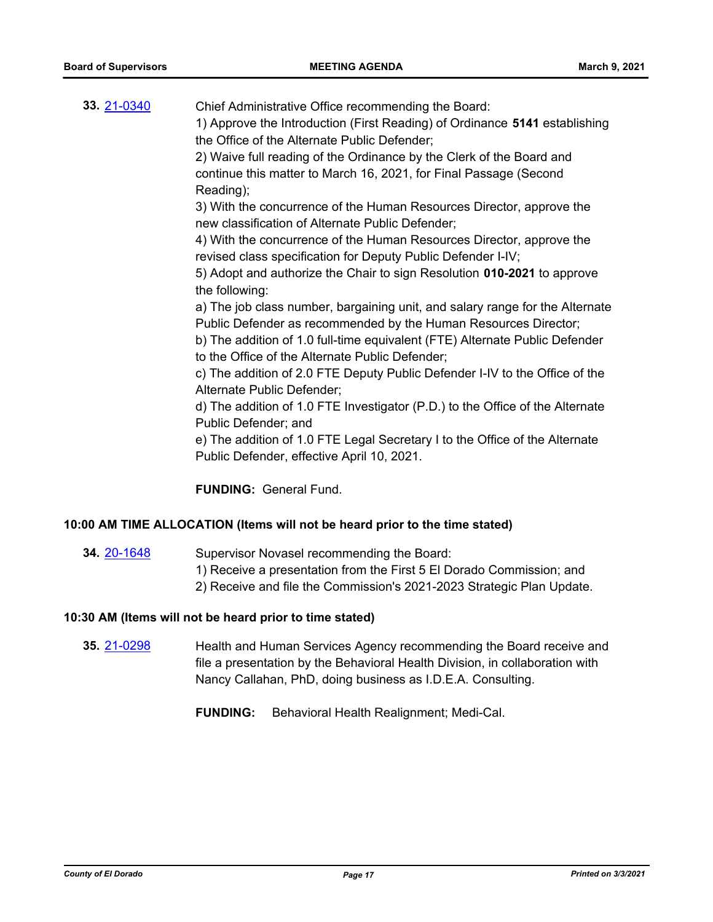| 33. 21-0340 | Chief Administrative Office recommending the Board:<br>1) Approve the Introduction (First Reading) of Ordinance 5141 establishing<br>the Office of the Alternate Public Defender;<br>2) Waive full reading of the Ordinance by the Clerk of the Board and<br>continue this matter to March 16, 2021, for Final Passage (Second |
|-------------|--------------------------------------------------------------------------------------------------------------------------------------------------------------------------------------------------------------------------------------------------------------------------------------------------------------------------------|
|             | Reading);<br>3) With the concurrence of the Human Resources Director, approve the                                                                                                                                                                                                                                              |
|             | new classification of Alternate Public Defender;                                                                                                                                                                                                                                                                               |
|             | 4) With the concurrence of the Human Resources Director, approve the<br>revised class specification for Deputy Public Defender I-IV;                                                                                                                                                                                           |
|             | 5) Adopt and authorize the Chair to sign Resolution 010-2021 to approve                                                                                                                                                                                                                                                        |
|             | the following:                                                                                                                                                                                                                                                                                                                 |
|             | a) The job class number, bargaining unit, and salary range for the Alternate<br>Public Defender as recommended by the Human Resources Director;<br>b) The addition of 1.0 full-time equivalent (FTE) Alternate Public Defender<br>to the Office of the Alternate Public Defender;                                              |
|             | c) The addition of 2.0 FTE Deputy Public Defender I-IV to the Office of the<br>Alternate Public Defender;                                                                                                                                                                                                                      |
|             | d) The addition of 1.0 FTE Investigator (P.D.) to the Office of the Alternate<br>Public Defender; and                                                                                                                                                                                                                          |
|             | e) The addition of 1.0 FTE Legal Secretary I to the Office of the Alternate                                                                                                                                                                                                                                                    |
|             | Public Defender, effective April 10, 2021.                                                                                                                                                                                                                                                                                     |
|             | <b>FUNDING: General Fund.</b>                                                                                                                                                                                                                                                                                                  |

#### **10:00 AM TIME ALLOCATION (Items will not be heard prior to the time stated)**

- 
- **34.** [20-1648](http://eldorado.legistar.com/gateway.aspx?m=l&id=/matter.aspx?key=28857) Supervisor Novasel recommending the Board:
	- 1) Receive a presentation from the First 5 El Dorado Commission; and
	- 2) Receive and file the Commission's 2021-2023 Strategic Plan Update.

#### **10:30 AM (Items will not be heard prior to time stated)**

**35.** [21-0298](http://eldorado.legistar.com/gateway.aspx?m=l&id=/matter.aspx?key=29194) Health and Human Services Agency recommending the Board receive and file a presentation by the Behavioral Health Division, in collaboration with Nancy Callahan, PhD, doing business as I.D.E.A. Consulting.

**FUNDING:** Behavioral Health Realignment; Medi-Cal.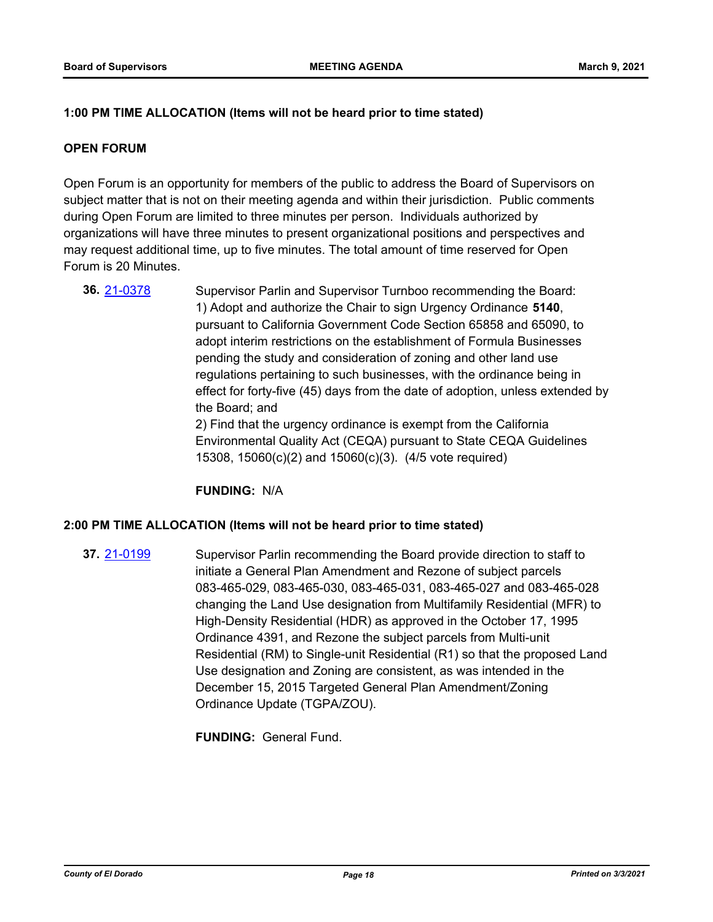#### **1:00 PM TIME ALLOCATION (Items will not be heard prior to time stated)**

#### **OPEN FORUM**

Open Forum is an opportunity for members of the public to address the Board of Supervisors on subject matter that is not on their meeting agenda and within their jurisdiction. Public comments during Open Forum are limited to three minutes per person. Individuals authorized by organizations will have three minutes to present organizational positions and perspectives and may request additional time, up to five minutes. The total amount of time reserved for Open Forum is 20 Minutes.

**36.** [21-0378](http://eldorado.legistar.com/gateway.aspx?m=l&id=/matter.aspx?key=29274) Supervisor Parlin and Supervisor Turnboo recommending the Board: 1) Adopt and authorize the Chair to sign Urgency Ordinance **5140**, pursuant to California Government Code Section 65858 and 65090, to adopt interim restrictions on the establishment of Formula Businesses pending the study and consideration of zoning and other land use regulations pertaining to such businesses, with the ordinance being in effect for forty-five (45) days from the date of adoption, unless extended by the Board; and 2) Find that the urgency ordinance is exempt from the California Environmental Quality Act (CEQA) pursuant to State CEQA Guidelines 15308, 15060(c)(2) and 15060(c)(3). (4/5 vote required)

**FUNDING:** N/A

#### **2:00 PM TIME ALLOCATION (Items will not be heard prior to time stated)**

**37.** [21-0199](http://eldorado.legistar.com/gateway.aspx?m=l&id=/matter.aspx?key=29095) Supervisor Parlin recommending the Board provide direction to staff to initiate a General Plan Amendment and Rezone of subject parcels 083-465-029, 083-465-030, 083-465-031, 083-465-027 and 083-465-028 changing the Land Use designation from Multifamily Residential (MFR) to High-Density Residential (HDR) as approved in the October 17, 1995 Ordinance 4391, and Rezone the subject parcels from Multi-unit Residential (RM) to Single-unit Residential (R1) so that the proposed Land Use designation and Zoning are consistent, as was intended in the December 15, 2015 Targeted General Plan Amendment/Zoning Ordinance Update (TGPA/ZOU).

**FUNDING:** General Fund.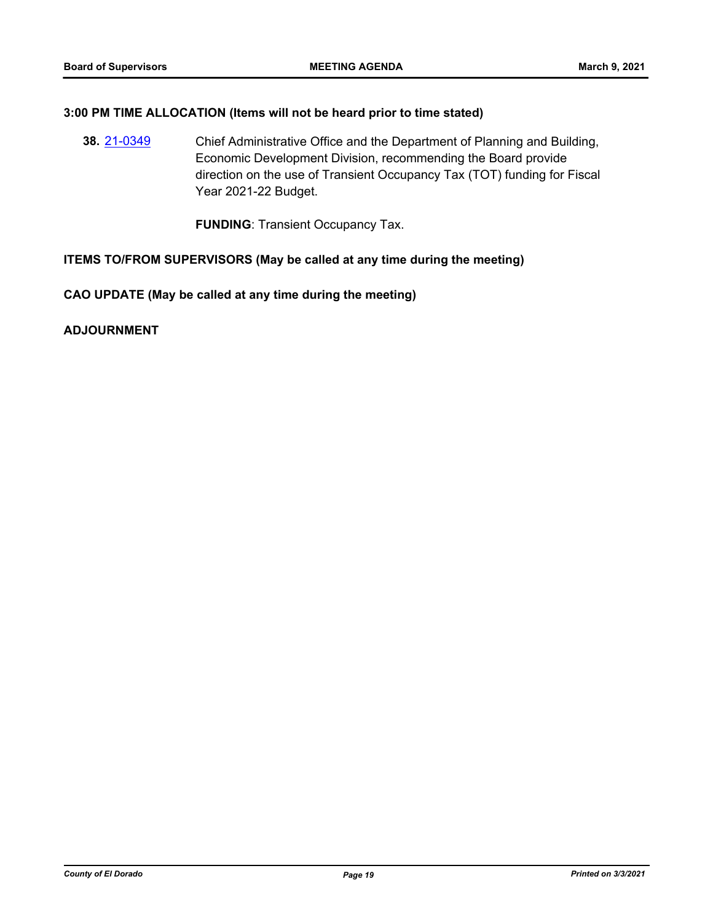#### **3:00 PM TIME ALLOCATION (Items will not be heard prior to time stated)**

**38.** [21-0349](http://eldorado.legistar.com/gateway.aspx?m=l&id=/matter.aspx?key=29245) Chief Administrative Office and the Department of Planning and Building, Economic Development Division, recommending the Board provide direction on the use of Transient Occupancy Tax (TOT) funding for Fiscal Year 2021-22 Budget.

**FUNDING**: Transient Occupancy Tax.

#### **ITEMS TO/FROM SUPERVISORS (May be called at any time during the meeting)**

**CAO UPDATE (May be called at any time during the meeting)**

**ADJOURNMENT**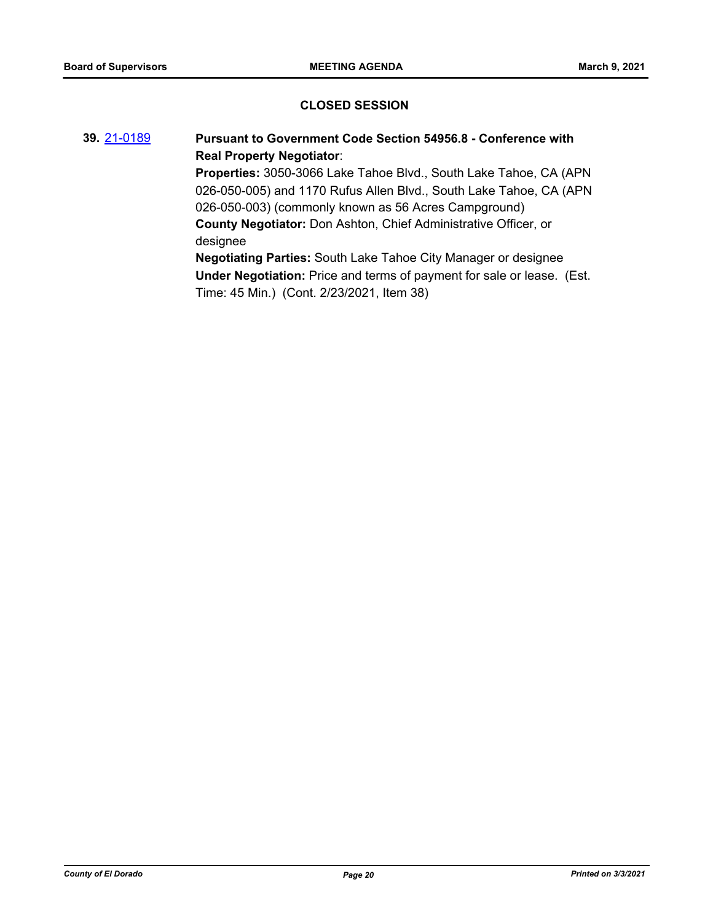#### **CLOSED SESSION**

# **39.** [21-0189](http://eldorado.legistar.com/gateway.aspx?m=l&id=/matter.aspx?key=29085) **Pursuant to Government Code Section 54956.8 - Conference with Real Property Negotiator**: **Properties:** 3050-3066 Lake Tahoe Blvd., South Lake Tahoe, CA (APN 026-050-005) and 1170 Rufus Allen Blvd., South Lake Tahoe, CA (APN 026-050-003) (commonly known as 56 Acres Campground) **County Negotiator:** Don Ashton, Chief Administrative Officer, or designee **Negotiating Parties:** South Lake Tahoe City Manager or designee **Under Negotiation:** Price and terms of payment for sale or lease. (Est.

Time: 45 Min.) (Cont. 2/23/2021, Item 38)

*County of El Dorado Page 20 Printed on 3/3/2021*